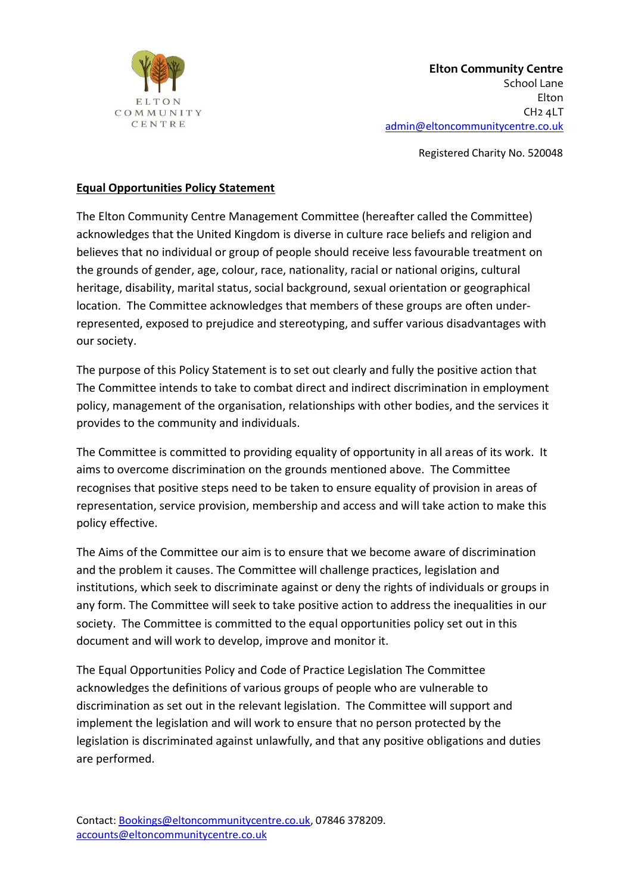

Registered Charity No. 520048

## **Equal Opportunities Policy Statement**

The Elton Community Centre Management Committee (hereafter called the Committee) acknowledges that the United Kingdom is diverse in culture race beliefs and religion and believes that no individual or group of people should receive less favourable treatment on the grounds of gender, age, colour, race, nationality, racial or national origins, cultural heritage, disability, marital status, social background, sexual orientation or geographical location. The Committee acknowledges that members of these groups are often underrepresented, exposed to prejudice and stereotyping, and suffer various disadvantages with our society.

The purpose of this Policy Statement is to set out clearly and fully the positive action that The Committee intends to take to combat direct and indirect discrimination in employment policy, management of the organisation, relationships with other bodies, and the services it provides to the community and individuals.

The Committee is committed to providing equality of opportunity in all areas of its work. It aims to overcome discrimination on the grounds mentioned above. The Committee recognises that positive steps need to be taken to ensure equality of provision in areas of representation, service provision, membership and access and will take action to make this policy effective.

The Aims of the Committee our aim is to ensure that we become aware of discrimination and the problem it causes. The Committee will challenge practices, legislation and institutions, which seek to discriminate against or deny the rights of individuals or groups in any form. The Committee will seek to take positive action to address the inequalities in our society. The Committee is committed to the equal opportunities policy set out in this document and will work to develop, improve and monitor it.

The Equal Opportunities Policy and Code of Practice Legislation The Committee acknowledges the definitions of various groups of people who are vulnerable to discrimination as set out in the relevant legislation. The Committee will support and implement the legislation and will work to ensure that no person protected by the legislation is discriminated against unlawfully, and that any positive obligations and duties are performed.